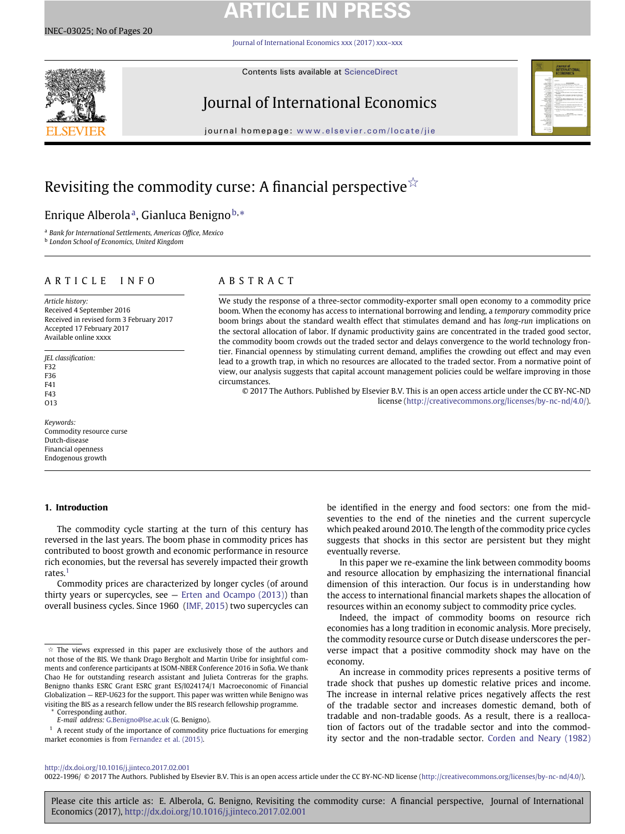# **ARTICLE IN PRESS**

[Journal of International Economics xxx \(2017\) xxx–xxx](http://dx.doi.org/10.1016/j.jinteco.2017.02.001)



Contents lists available at [ScienceDirect](http://www.ScienceDirect.com/)

## Journal of International Economics



journal homepage: [www.elsevier.com/locate/jie](http://www.elsevier.com/locate/jie)

## Revisiting the commodity curse: A financial perspective ${}^{\not\sim}$

## Enrique Alberolaª, Gianluca Benigno<sup>b,</sup>[\\*](#page-0-3)

<span id="page-0-2"></span><span id="page-0-1"></span><sup>a</sup> *Bank for International Settlements, Americas Office, Mexico* <sup>b</sup> *London School of Economics, United Kingdom*

### ARTICLE INFO

*Article history:* Received 4 September 2016 Received in revised form 3 February 2017 Accepted 17 February 2017 Available online xxxx

*JEL classification:* F32 F36 F41 F43 O13

*Keywords:* Commodity resource curse Dutch-disease Financial openness Endogenous growth

### **1. Introduction**

### The commodity cycle starting at the turn of this century has reversed in the last years. The boom phase in commodity prices has contributed to boost growth and economic performance in resource rich economies, but the reversal has severely impacted their growth rates.[1](#page-0-4)

Commodity prices are characterized by longer cycles (of around thirty years or supercycles, see — [Erten and Ocampo \(2013\)\)](#page--1-0) than overall business cycles. Since 1960 [\(IMF, 2015\)](#page--1-1) two supercycles can

Corresponding author.

<span id="page-0-3"></span>*E-mail address:* [G.Benigno@lse.ac.uk](mailto: G.Benigno@lse.ac.uk) (G. Benigno).

<span id="page-0-4"></span><sup>1</sup> A recent study of the importance of commodity price fluctuations for emerging market economies is from [Fernandez et al. \(2015\).](#page--1-2)

### ABSTRACT

We study the response of a three-sector commodity-exporter small open economy to a commodity price boom. When the economy has access to international borrowing and lending, a *temporary* commodity price boom brings about the standard wealth effect that stimulates demand and has *long-run* implications on the sectoral allocation of labor. If dynamic productivity gains are concentrated in the traded good sector, the commodity boom crowds out the traded sector and delays convergence to the world technology frontier. Financial openness by stimulating current demand, amplifies the crowding out effect and may even lead to a growth trap, in which no resources are allocated to the traded sector. From a normative point of view, our analysis suggests that capital account management policies could be welfare improving in those circumstances.

© 2017 The Authors. Published by Elsevier B.V. This is an open access article under the CC BY-NC-ND license [\(http://creativecommons.org/licenses/by-nc-nd/4.0/\)](http://creativecommons.org/licenses/by-nc-nd/4.0/).

> be identified in the energy and food sectors: one from the midseventies to the end of the nineties and the current supercycle which peaked around 2010. The length of the commodity price cycles suggests that shocks in this sector are persistent but they might eventually reverse.

> In this paper we re-examine the link between commodity booms and resource allocation by emphasizing the international financial dimension of this interaction. Our focus is in understanding how the access to international financial markets shapes the allocation of resources within an economy subject to commodity price cycles.

> Indeed, the impact of commodity booms on resource rich economies has a long tradition in economic analysis. More precisely, the commodity resource curse or Dutch disease underscores the perverse impact that a positive commodity shock may have on the economy.

> An increase in commodity prices represents a positive terms of trade shock that pushes up domestic relative prices and income. The increase in internal relative prices negatively affects the rest of the tradable sector and increases domestic demand, both of tradable and non-tradable goods. As a result, there is a reallocation of factors out of the tradable sector and into the commodity sector and the non-tradable sector. [Corden and Neary \(1982\)](#page--1-3)

### <http://dx.doi.org/10.1016/j.jinteco.2017.02.001>

0022-1996/ © 2017 The Authors. Published by Elsevier B.V. This is an open access article under the CC BY-NC-ND license [\(http://creativecommons.org/licenses/by-nc-nd/4.0/\)](http://creativecommons.org/licenses/by-nc-nd/4.0/).

Please cite this article as: E. Alberola, G. Benigno, Revisiting the commodity curse: A financial perspective, Journal of International Economics (2017), <http://dx.doi.org/10.1016/j.jinteco.2017.02.001>

<span id="page-0-0"></span> $\dot{\varphi}$  The views expressed in this paper are exclusively those of the authors and not those of the BIS. We thank Drago Bergholt and Martin Uribe for insightful comments and conference participants at ISOM-NBER Conference 2016 in Sofia. We thank Chao He for outstanding research assistant and Julieta Contreras for the graphs. Benigno thanks ESRC Grant ESRC grant ES/I024174/1 Macroeconomic of Financial Globalization — REP-U623 for the support. This paper was written while Benigno was visiting the BIS as a research fellow under the BIS research fellowship programme.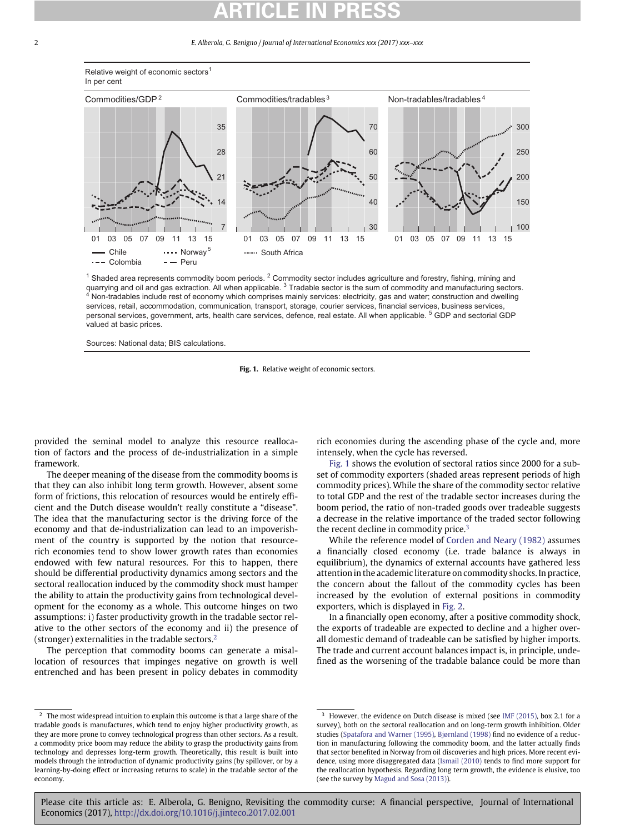## **ARTICLE IN PRESS**

#### 2 *E. Alberola, G. Benigno / Journal of International Economics xxx (2017) xxx–xxx*



#### Relative weight of economic sectors<sup>1</sup> In per cent

<sup>1</sup> Shaded area represents commodity boom periods. <sup>2</sup> Commodity sector includes agriculture and forestry, fishing, mining and quarrying and oil and gas extraction. All when applicable.  $3$  Tradable sector is the sum of commodity and manufacturing sectors. 4 Non-tradables include rest of economy which comprises mainly services: electricity, gas and water; construction and dwelling services, retail, accommodation, communication, transport, storage, courier services, financial services, business services, personal services, government, arts, health care services, defence, real estate. All when applicable. <sup>5</sup> GDP and sectorial GDP valued at basic prices.

<span id="page-1-1"></span>Sources: National data; BIS calculations.

**Fig. 1.** Relative weight of economic sectors.

provided the seminal model to analyze this resource reallocation of factors and the process of de-industrialization in a simple framework.

The deeper meaning of the disease from the commodity booms is that they can also inhibit long term growth. However, absent some form of frictions, this relocation of resources would be entirely efficient and the Dutch disease wouldn't really constitute a "disease". The idea that the manufacturing sector is the driving force of the economy and that de-industrialization can lead to an impoverishment of the country is supported by the notion that resourcerich economies tend to show lower growth rates than economies endowed with few natural resources. For this to happen, there should be differential productivity dynamics among sectors and the sectoral reallocation induced by the commodity shock must hamper the ability to attain the productivity gains from technological development for the economy as a whole. This outcome hinges on two assumptions: i) faster productivity growth in the tradable sector relative to the other sectors of the economy and ii) the presence of (stronger) externalities in the tradable sectors[.2](#page-1-0)

The perception that commodity booms can generate a misallocation of resources that impinges negative on growth is well entrenched and has been present in policy debates in commodity rich economies during the ascending phase of the cycle and, more intensely, when the cycle has reversed.

[Fig. 1](#page-1-1) shows the evolution of sectoral ratios since 2000 for a subset of commodity exporters (shaded areas represent periods of high commodity prices). While the share of the commodity sector relative to total GDP and the rest of the tradable sector increases during the boom period, the ratio of non-traded goods over tradeable suggests a decrease in the relative importance of the traded sector following the recent decline in commodity price. $3$ 

While the reference model of [Corden and Neary \(1982\)](#page--1-3) assumes a financially closed economy (i.e. trade balance is always in equilibrium), the dynamics of external accounts have gathered less attention in the academic literature on commodity shocks. In practice, the concern about the fallout of the commodity cycles has been increased by the evolution of external positions in commodity exporters, which is displayed in [Fig. 2.](#page--1-4)

In a financially open economy, after a positive commodity shock, the exports of tradeable are expected to decline and a higher overall domestic demand of tradeable can be satisfied by higher imports. The trade and current account balances impact is, in principle, undefined as the worsening of the tradable balance could be more than

Please cite this article as: E. Alberola, G. Benigno, Revisiting the commodity curse: A financial perspective, Journal of International Economics (2017), <http://dx.doi.org/10.1016/j.jinteco.2017.02.001>

<span id="page-1-0"></span> $\frac{2}{2}$  The most widespread intuition to explain this outcome is that a large share of the tradable goods is manufactures, which tend to enjoy higher productivity growth, as they are more prone to convey technological progress than other sectors. As a result, a commodity price boom may reduce the ability to grasp the productivity gains from technology and depresses long-term growth. Theoretically, this result is built into models through the introduction of dynamic productivity gains (by spillover, or by a learning-by-doing effect or increasing returns to scale) in the tradable sector of the economy.

<span id="page-1-2"></span><sup>&</sup>lt;sup>3</sup> However, the evidence on Dutch disease is mixed (see [IMF \(2015\),](#page--1-1) box 2.1 for a survey), both on the sectoral reallocation and on long-term growth inhibition. Older studies [\(Spatafora and Warner \(1995\),](#page--1-5) [Bjørnland \(1998\)](#page--1-6) find no evidence of a reduction in manufacturing following the commodity boom, and the latter actually finds that sector benefited in Norway from oil discoveries and high prices. More recent evidence, using more disaggregated data [\(Ismail \(2010\)](#page--1-7) tends to find more support for the reallocation hypothesis. Regarding long term growth, the evidence is elusive, too (see the survey by [Magud and Sosa \(2013\)\)](#page--1-8).